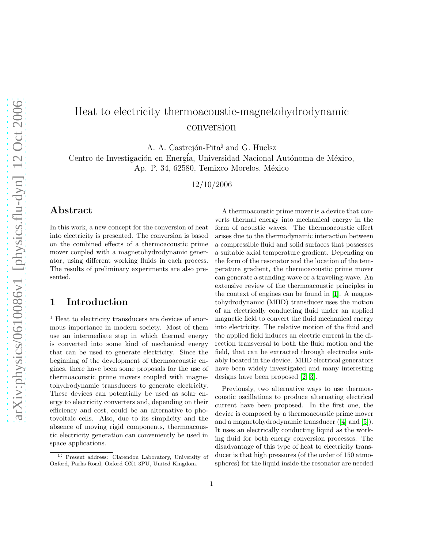# Heat to electricity thermoacoustic-magnetohydrodynamic conversion

A. A. Castrejón-Pita<sup> $\uparrow$ </sup> and G. Huelsz

Centro de Investigación en Energía, Universidad Nacional Autónoma de México, Ap. P. 34, 62580, Temixco Morelos, México

12/10/2006

#### Abstract

In this work, a new concept for the conversion of heat into electricity is presented. The conversion is based on the combined effects of a thermoacoustic prime mover coupled with a magnetohydrodynamic generator, using different working fluids in each process. The results of preliminary experiments are also presented.

## 1 Introduction

<sup>1</sup> Heat to electricity transducers are devices of enormous importance in modern society. Most of them use an intermediate step in which thermal energy is converted into some kind of mechanical energy that can be used to generate electricity. Since the beginning of the development of thermoacoustic engines, there have been some proposals for the use of thermoacoustic prime movers coupled with magnetohydrodynamic transducers to generate electricity. These devices can potentially be used as solar energy to electricity converters and, depending on their efficiency and cost, could be an alternative to photovoltaic cells. Also, due to its simplicity and the absence of moving rigid components, thermoacoustic electricity generation can conveniently be used in space applications.

A thermoacoustic prime mover is a device that converts thermal energy into mechanical energy in the form of acoustic waves. The thermoacoustic effect arises due to the thermodynamic interaction between a compressible fluid and solid surfaces that possesses a suitable axial temperature gradient. Depending on the form of the resonator and the location of the temperature gradient, the thermoacoustic prime mover can generate a standing-wave or a traveling-wave. An extensive review of the thermoacoustic principles in the context of engines can be found in [\[1\]](#page-3-0). A magnetohydrodynamic (MHD) transducer uses the motion of an electrically conducting fluid under an applied magnetic field to convert the fluid mechanical energy into electricity. The relative motion of the fluid and the applied field induces an electric current in the direction transversal to both the fluid motion and the field, that can be extracted through electrodes suitably located in the device. MHD electrical generators have been widely investigated and many interesting designs have been proposed [\[2,](#page-3-1) [3\]](#page-3-2).

Previously, two alternative ways to use thermoacoustic oscillations to produce alternating electrical current have been proposed. In the first one, the device is composed by a thermoacoustic prime mover and a magnetohydrodynamic transducer ([\[4\]](#page-4-0) and [\[5\]](#page-4-1)). It uses an electrically conducting liquid as the working fluid for both energy conversion processes. The disadvantage of this type of heat to electricity transducer is that high pressures (of the order of 150 atmospheres) for the liquid inside the resonator are needed

<sup>1</sup>♮ Present address: Clarendon Laboratory, University of Oxford, Parks Road, Oxford OX1 3PU, United Kingdom.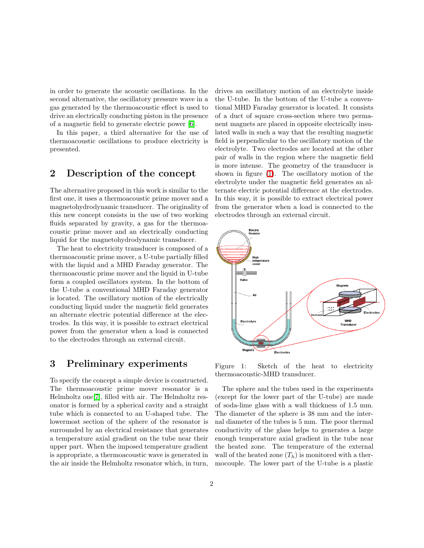in order to generate the acoustic oscillations. In the second alternative, the oscillatory pressure wave in a gas generated by the thermoacoustic effect is used to drive an electrically conducting piston in the presence of a magnetic field to generate electric power [\[6\]](#page-4-2).

In this paper, a third alternative for the use of thermoacoustic oscillations to produce electricity is presented.

#### 2 Description of the concept

The alternative proposed in this work is similar to the first one, it uses a thermoacoustic prime mover and a magnetohydrodynamic transducer. The originality of this new concept consists in the use of two working fluids separated by gravity, a gas for the thermoacoustic prime mover and an electrically conducting liquid for the magnetohydrodynamic transducer.

The heat to electricity transducer is composed of a thermoacoustic prime mover, a U-tube partially filled with the liquid and a MHD Faraday generator. The thermoacoustic prime mover and the liquid in U-tube form a coupled oscillators system. In the bottom of the U-tube a conventional MHD Faraday generator is located. The oscillatory motion of the electrically conducting liquid under the magnetic field generates an alternate electric potential difference at the electrodes. In this way, it is possible to extract electrical power from the generator when a load is connected to the electrodes through an external circuit.

#### 3 Preliminary experiments

To specify the concept a simple device is constructed. The thermoacoustic prime mover resonator is a Helmholtz one[\[7\]](#page-4-3), filled with air. The Helmholtz resonator is formed by a spherical cavity and a straight tube which is connected to an U-shaped tube. The lowermost section of the sphere of the resonator is surrounded by an electrical resistance that generates a temperature axial gradient on the tube near their upper part. When the imposed temperature gradient is appropriate, a thermoacoustic wave is generated in the air inside the Helmholtz resonator which, in turn, drives an oscillatory motion of an electrolyte inside the U-tube. In the bottom of the U-tube a conventional MHD Faraday generator is located. It consists of a duct of square cross-section where two permanent magnets are placed in opposite electrically insulated walls in such a way that the resulting magnetic field is perpendicular to the oscillatory motion of the electrolyte. Two electrodes are located at the other pair of walls in the region where the magnetic field is more intense. The geometry of the transducer is shown in figure [\(1\)](#page-1-0). The oscillatory motion of the electrolyte under the magnetic field generates an alternate electric potential difference at the electrodes. In this way, it is possible to extract electrical power from the generator when a load is connected to the electrodes through an external circuit.



<span id="page-1-0"></span>Figure 1: Sketch of the heat to electricity thermoacoustic-MHD transducer.

The sphere and the tubes used in the experiments (except for the lower part of the U-tube) are made of soda-lime glass with a wall thickness of 1.5 mm. The diameter of the sphere is 38 mm and the internal diameter of the tubes is 5 mm. The poor thermal conductivity of the glass helps to generates a large enough temperature axial gradient in the tube near the heated zone. The temperature of the external wall of the heated zone  $(T_h)$  is monitored with a thermocouple. The lower part of the U-tube is a plastic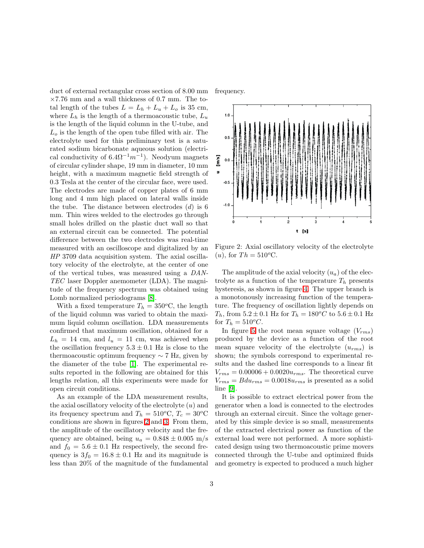duct of external rectangular cross section of 8.00 mm  $\times7.76$  mm and a wall thickness of 0.7 mm. The total length of the tubes  $L = L_h + L_u + L_o$  is 35 cm, where  $L_h$  is the length of a thermoacoustic tube,  $L_u$ is the length of the liquid column in the U-tube, and  $L<sub>o</sub>$  is the length of the open tube filled with air. The electrolyte used for this preliminary test is a saturated sodium bicarbonate aqueous solution (electrical conductivity of  $6.4\Omega^{-1}m^{-1}$ ). Neodyum magnets of circular cylinder shape, 19 mm in diameter, 10 mm height, with a maximum magnetic field strength of 0.3 Tesla at the center of the circular face, were used. The electrodes are made of copper plates of 6 mm long and 4 mm high placed on lateral walls inside the tube. The distance between electrodes  $(d)$  is 6 mm. Thin wires welded to the electrodes go through small holes drilled on the plastic duct wall so that an external circuit can be connected. The potential difference between the two electrodes was real-time measured with an oscilloscope and digitalized by an HP 3709 data acquisition system. The axial oscillatory velocity of the electrolyte, at the center of one of the vertical tubes, was measured using a DAN-TEC laser Doppler anemometer (LDA). The magnitude of the frequency spectrum was obtained using Lomb normalized periodograms [\[8\]](#page-4-4).

With a fixed temperature  $T_h = 350$ °C, the length of the liquid column was varied to obtain the maximum liquid column oscillation. LDA measurements confirmed that maximum oscillation, obtained for a  $L_h = 14$  cm, and  $l_u = 11$  cm, was achieved when the oscillation frequency  $5.3 \pm 0.1$  Hz is close to the thermoacoustic optimum frequency  $\sim$  7 Hz, given by the diameter of the tube [\[1\]](#page-3-0). The experimental results reported in the following are obtained for this lengths relation, all this experiments were made for open circuit conditions.

As an example of the LDA measurement results, the axial oscillatory velocity of the electrolyte  $(u)$  and its frequency spectrum and  $T_h = 510^{\circ}\text{C}, T_c = 30^{\circ}\text{C}$ conditions are shown in figures [2](#page-2-0) and [3.](#page-3-3) From them, the amplitude of the oscillatory velocity and the frequency are obtained, being  $u_a = 0.848 \pm 0.005$  m/s and  $f_0 = 5.6 \pm 0.1$  Hz respectively, the second frequency is  $3f_0 = 16.8 \pm 0.1$  Hz and its magnitude is less than 20% of the magnitude of the fundamental





<span id="page-2-0"></span>Figure 2: Axial oscillatory velocity of the electrolyte (*u*), for  $Th = 510^{\circ}$ C.

The amplitude of the axial velocity  $(u_a)$  of the electrolyte as a function of the temperature  $T_h$  presents hysteresis, as shown in figure [4.](#page-3-4) The upper branch is a monotonously increasing function of the temperature. The frequency of oscillation lightly depends on  $T_h,$  from  $5.2\pm0.1$  Hz for  $T_h=180^oC$  to  $5.6\pm0.1$  Hz for  $T_h = 510^{\circ}C$ .

In figure [5](#page-4-5) the root mean square voltage  $(V_{rms})$ produced by the device as a function of the root mean square velocity of the electrolyte  $(u_{rms})$  is shown; the symbols correspond to experimental results and the dashed line corresponds to a linear fit  $V_{rms} = 0.00006 + 0.0020u_{rms}$ . The theoretical curve  $V_{rms} = Bdu_{rms} = 0.0018u_{rms}$  is presented as a solid line [\[9\]](#page-4-6).

It is possible to extract electrical power from the generator when a load is connected to the electrodes through an external circuit. Since the voltage generated by this simple device is so small, measurements of the extracted electrical power as function of the external load were not performed. A more sophisticated design using two thermoacoustic prime movers connected through the U-tube and optimized fluids and geometry is expected to produced a much higher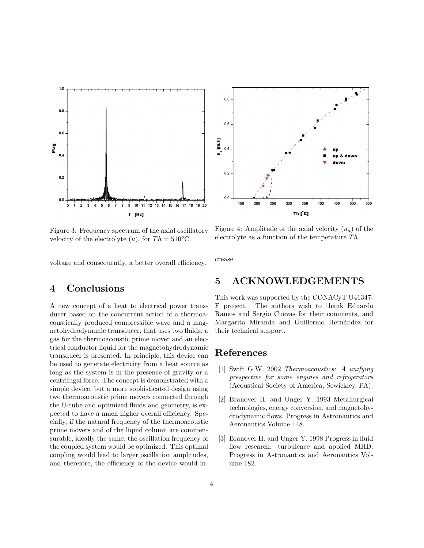



<span id="page-3-3"></span>Figure 3: Frequency spectrum of the axial oscillatory velocity of the electrolyte  $(u)$ , for  $Th = 510^{\circ}$ C.

<span id="page-3-4"></span>Figure 4: Amplitude of the axial velocity  $(u_a)$  of the electrolyte as a function of the temperature  $Th$ .

voltage and consequently, a better overall efficiency.

### 4 Conclusions

A new concept of a heat to electrical power transducer based on the concurrent action of a thermoacoustically produced compressible wave and a magnetohydrodynamic transducer, that uses two fluids, a gas for the thermoacoustic prime mover and an electrical conductor liquid for the magnetohydrodynamic transducer is presented. In principle, this device can be used to generate electricity from a heat source as long as the system is in the presence of gravity or a centrifugal force. The concept is demonstrated with a simple device, but a more sophisticated design using two thermoacoustic prime movers connected through the U-tube and optimized fluids and geometry, is expected to have a much higher overall efficiency. Specially, if the natural frequency of the thermoacoustic prime movers and of the liquid column are commensurable, ideally the same, the oscillation frequency of the coupled system would be optimized. This optimal coupling would lead to larger oscillation amplitudes, and therefore, the efficiency of the device would increase.

#### 5 ACKNOWLEDGEMENTS

This work was supported by the CONACyT U41347- F project. The authors wish to thank Eduardo Ramos and Sergio Cuevas for their comments, and Margarita Miranda and Guillermo Hernández for their technical support.

#### <span id="page-3-0"></span>References

- [1] Swift G.W. 2002 Thermoacoustics: A unifying prespective for some engines and refrigerators (Acoustical Society of America, Sewickley, PA).
- <span id="page-3-1"></span>[2] Branover H. and Unger Y. 1993 Metallurgical technologies, energy conversion, and magnetohydrodynamic flows. Progress in Astronautics and Aeronautics Volume 148.
- <span id="page-3-2"></span>[3] Branover H. and Unger Y. 1998 Progress in fluid flow research: turbulence and applied MHD. Progress in Astronautics and Aeronautics Volume 182.